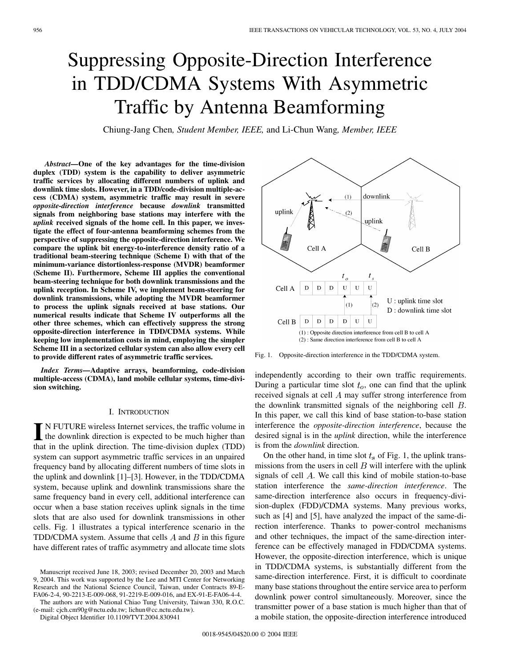# Suppressing Opposite-Direction Interference in TDD/CDMA Systems With Asymmetric Traffic by Antenna Beamforming

Chiung-Jang Chen*, Student Member, IEEE,* and Li-Chun Wang*, Member, IEEE*

*Abstract—***One of the key advantages for the time-division duplex (TDD) system is the capability to deliver asymmetric traffic services by allocating different numbers of uplink and downlink time slots. However, in a TDD/code-division multiple-access (CDMA) system, asymmetric traffic may result in severe** *opposite-direction interference* **because** *downlink* **transmitted signals from neighboring base stations may interfere with the** *uplink* **received signals of the home cell. In this paper, we investigate the effect of four-antenna beamforming schemes from the perspective of suppressing the opposite-direction interference. We compare the uplink bit energy-to-interference density ratio of a traditional beam-steering technique (Scheme I) with that of the minimum-variance distortionless-response (MVDR) beamformer (Scheme II). Furthermore, Scheme III applies the conventional beam-steering technique for both downlink transmissions and the uplink reception. In Scheme IV, we implement beam-steering for downlink transmissions, while adopting the MVDR beamformer to process the uplink signals received at base stations. Our numerical results indicate that Scheme IV outperforms all the other three schemes, which can effectively suppress the strong opposite-direction interference in TDD/CDMA systems. While keeping low implementation costs in mind, employing the simpler Scheme III in a sectorized cellular system can also allow every cell to provide different rates of asymmetric traffic services.**

*Index Terms—***Adaptive arrays, beamforming, code-division multiple-access (CDMA), land mobile cellular systems, time-division switching.**

## I. INTRODUCTION

I N FUTURE wireless Internet services, the traffic volume in<br>the downlink direction is expected to be much higher than<br>that in the unlink direction. The time direction durban (TDD) that in the uplink direction. The time-division duplex (TDD) system can support asymmetric traffic services in an unpaired frequency band by allocating different numbers of time slots in the uplink and downlink [\[1](#page-11-0)]–[[3\]](#page-11-0). However, in the TDD/CDMA system, because uplink and downlink transmissions share the same frequency band in every cell, additional interference can occur when a base station receives uplink signals in the time slots that are also used for downlink transmissions in other cells. Fig. 1 illustrates a typical interference scenario in the TDD/CDMA system. Assume that cells  $A$  and  $B$  in this figure have different rates of traffic asymmetry and allocate time slots

The authors are with National Chiao Tung University, Taiwan 330, R.O.C. (e-mail: cjch.cm90g@nctu.edu.tw; lichun@cc.nctu.edu.tw).

Digital Object Identifier 10.1109/TVT.2004.830941



Fig. 1. Opposite-direction interference in the TDD/CDMA system.

independently according to their own traffic requirements. During a particular time slot  $t<sub>o</sub>$ , one can find that the uplink received signals at cell  $A$  may suffer strong interference from the downlink transmitted signals of the neighboring cell  $B$ . In this paper, we call this kind of base station-to-base station interference the *opposite-direction interference*, because the desired signal is in the *uplink* direction, while the interference is from the *downlink* direction.

On the other hand, in time slot  $t_s$  of Fig. 1, the uplink transmissions from the users in cell  $B$  will interfere with the uplink signals of cell  $A$ . We call this kind of mobile station-to-base station interference the *same-direction interference*. The same-direction interference also occurs in frequency-division-duplex (FDD)/CDMA systems. Many previous works, such as [\[4\]](#page-11-0) and [[5\]](#page-11-0), have analyzed the impact of the same-direction interference. Thanks to power-control mechanisms and other techniques, the impact of the same-direction interference can be effectively managed in FDD/CDMA systems. However, the opposite-direction interference, which is unique in TDD/CDMA systems, is substantially different from the same-direction interference. First, it is difficult to coordinate many base stations throughout the entire service area to perform downlink power control simultaneously. Moreover, since the transmitter power of a base station is much higher than that of a mobile station, the opposite-direction interference introduced

Manuscript received June 18, 2003; revised December 20, 2003 and March 9, 2004. This work was supported by the Lee and MTI Center for Networking Research and the National Science Council, Taiwan, under Contracts 89-E-FA06-2-4, 90-2213-E-009-068, 91-2219-E-009-016, and EX-91-E-FA06-4-4.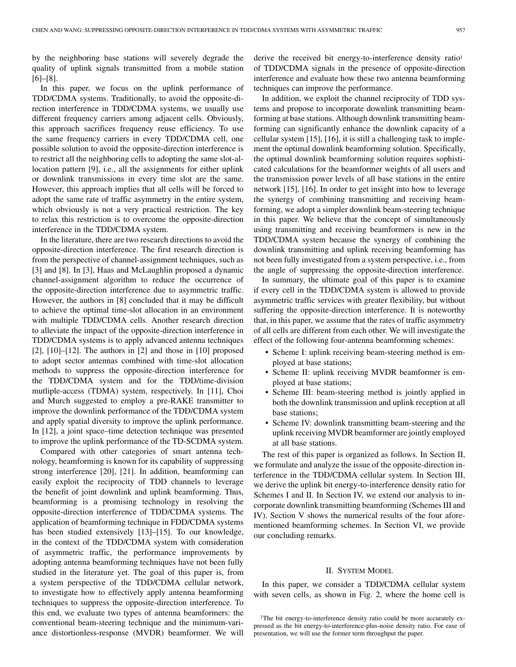by the neighboring base stations will severely degrade the quality of uplink signals transmitted from a mobile station [\[6](#page-11-0)]–[\[8\]](#page-11-0).

In this paper, we focus on the uplink performance of TDD/CDMA systems. Traditionally, to avoid the opposite-direction interference in TDD/CDMA systems, we usually use different frequency carriers among adjacent cells. Obviously, this approach sacrifices frequency reuse efficiency. To use the same frequency carriers in every TDD/CDMA cell, one possible solution to avoid the opposite-direction interference is to restrict all the neighboring cells to adopting the same slot-allocation pattern [\[9](#page-11-0)], i.e., all the assignments for either uplink or downlink transmissions in every time slot are the same. However, this approach implies that all cells will be forced to adopt the same rate of traffic asymmetry in the entire system, which obviously is not a very practical restriction. The key to relax this restriction is to overcome the opposite-direction interference in the TDD/CDMA system.

In the literature, there are two research directions to avoid the opposite-direction interference. The first research direction is from the perspective of channel-assignment techniques, such as [\[3](#page-11-0)] and [\[8](#page-11-0)]. In [[3\]](#page-11-0), Haas and McLaughlin proposed a dynamic channel-assignment algorithm to reduce the occurrence of the opposite-direction interference due to asymmetric traffic. However, the authors in [[8\]](#page-11-0) concluded that it may be difficult to achieve the optimal time-slot allocation in an environment with multiple TDD/CDMA cells. Another research direction to alleviate the impact of the opposite-direction interference in TDD/CDMA systems is to apply advanced antenna techniques  $[2]$  $[2]$ ,  $[10]$  $[10]$ – $[12]$  $[12]$ . The authors in  $[2]$  $[2]$  and those in  $[10]$  $[10]$  proposed to adopt sector antennas combined with time-slot allocation methods to suppress the opposite-direction interference for the TDD/CDMA system and for the TDD/time-division mutliple-access (TDMA) system, respectively. In [[11\]](#page-11-0), Choi and Murch suggested to employ a pre-RAKE transmitter to improve the downlink performance of the TDD/CDMA system and apply spatial diversity to improve the uplink performance. In [\[12](#page-11-0)], a joint space–time detection technique was presented to improve the uplink performance of the TD-SCDMA system.

Compared with other categories of smart antenna technology, beamforming is known for its capability of suppressing strong interference [\[20](#page-11-0)], [[21\]](#page-11-0). In addition, beamforming can easily exploit the reciprocity of TDD channels to leverage the benefit of joint downlink and uplink beamforming. Thus, beamforming is a promising technology in resolving the opposite-direction interference of TDD/CDMA systems. The application of beamforming technique in FDD/CDMA systems has been studied extensively [\[13](#page-11-0)]–[[15\]](#page-11-0). To our knowledge, in the context of the TDD/CDMA system with consideration of asymmetric traffic, the performance improvements by adopting antenna beamforming techniques have not been fully studied in the literature yet. The goal of this paper is, from a system perspective of the TDD/CDMA cellular network, to investigate how to effectively apply antenna beamforming techniques to suppress the opposite-direction interference. To this end, we evaluate two types of antenna beamformers: the conventional beam-steering technique and the minimum-variance distortionless-response (MVDR) beamformer. We will

derive the received bit energy-to-interference density ratio<sup>1</sup> of TDD/CDMA signals in the presence of opposite-direction interference and evaluate how these two antenna beamforming techniques can improve the performance.

In addition, we exploit the channel reciprocity of TDD systems and propose to incorporate downlink transmitting beamforming at base stations. Although downlink transmitting beamforming can significantly enhance the downlink capacity of a cellular system [[15\]](#page-11-0), [[16\]](#page-11-0), it is still a challenging task to implement the optimal downlink beamforming solution. Specifically, the optimal downlink beamforming solution requires sophisticated calculations for the beamformer weights of all users and the transmission power levels of all base stations in the entire network [[15\]](#page-11-0), [[16\]](#page-11-0). In order to get insight into how to leverage the synergy of combining transmitting and receiving beamforming, we adopt a simpler downlink beam-steering technique in this paper. We believe that the concept of simultaneously using transmitting and receiving beamformers is new in the TDD/CDMA system because the synergy of combining the downlink transmitting and uplink receiving beamforming has not been fully investigated from a system perspective, i.e., from the angle of suppressing the opposite-direction interference.

In summary, the ultimate goal of this paper is to examine if every cell in the TDD/CDMA system is allowed to provide asymmetric traffic services with greater flexibility, but without suffering the opposite-direction interference. It is noteworthy that, in this paper, we assume that the rates of traffic asymmetry of all cells are different from each other. We will investigate the effect of the following four-antenna beamforming schemes:

- Scheme I: uplink receiving beam-steering method is employed at base stations;
- Scheme II: uplink receiving MVDR beamformer is employed at base stations;
- Scheme III: beam-steering method is jointly applied in both the downlink transmission and uplink reception at all base stations;
- Scheme IV: downlink transmitting beam-steering and the uplink receiving MVDR beamformer are jointly employed at all base stations.

The rest of this paper is organized as follows. In Section II, we formulate and analyze the issue of the opposite-direction interference in the TDD/CDMA cellular system. In Section III, we derive the uplink bit energy-to-interference density ratio for Schemes I and II. In Section IV, we extend our analysis to incorporate downlink transmitting beamforming (Schemes III and IV). Section V shows the numerical results of the four aforementioned beamforming schemes. In Section VI, we provide our concluding remarks.

## II. SYSTEM MODEL

In this paper, we consider a TDD/CDMA cellular system with seven cells, as shown in Fig. 2, where the home cell is

<sup>1</sup>The bit energy-to-interference density ratio could be more accurately expressed as the bit energy-to-interference-plus-noise density ratio. For ease of presentation, we will use the former term throughput the paper.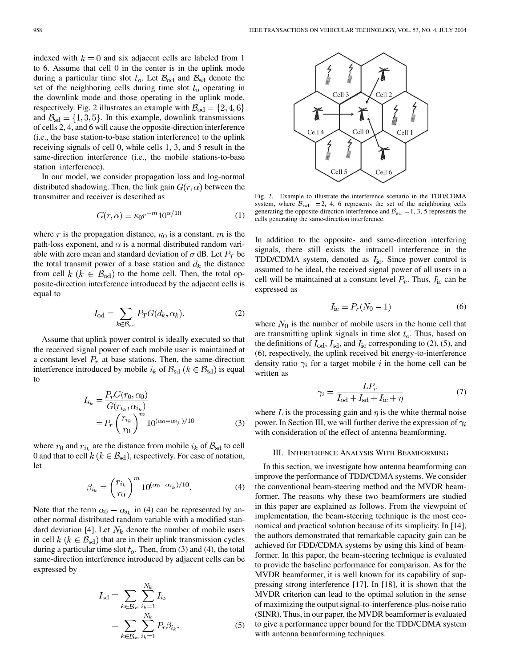indexed with  $k = 0$  and six adjacent cells are labeled from 1 to 6. Assume that cell 0 in the center is in the uplink mode during a particular time slot  $t_o$ . Let  $\mathcal{B}_{od}$  and  $\mathcal{B}_{sd}$  denote the set of the neighboring cells during time slot  $t_o$  operating in the downlink mode and those operating in the uplink mode, respectively. Fig. 2 illustrates an example with  $\mathcal{B}_{od} = \{2, 4, 6\}$ and  $\mathcal{B}_{sd} = \{1, 3, 5\}$ . In this example, downlink transmissions of cells 2, 4, and 6 will cause the opposite-direction interference (i.e., the base station-to-base station interference) to the uplink receiving signals of cell 0, while cells 1, 3, and 5 result in the same-direction interference (i.e., the mobile stations-to-base station interference).

In our model, we consider propagation loss and log-normal distributed shadowing. Then, the link gain  $G(r, \alpha)$  between the transmitter and receiver is described as

$$
G(r,\alpha) = \kappa_0 r^{-m} 10^{\alpha/10} \tag{1}
$$

where r is the propagation distance,  $\kappa_0$  is a constant, m is the path-loss exponent, and  $\alpha$  is a normal distributed random variable with zero mean and standard deviation of  $\sigma$  dB. Let  $P_T$  be the total transmit power of a base station and  $d_k$  the distance from cell  $k$  ( $k \in \mathcal{B}_{\text{od}}$ ) to the home cell. Then, the total opposite-direction interference introduced by the adjacent cells is equal to

$$
I_{\text{od}} = \sum_{k \in \mathcal{B}_{\text{od}}} P_T G(d_k, \alpha_k). \tag{2}
$$

Assume that uplink power control is ideally executed so that the received signal power of each mobile user is maintained at a constant level  $P_r$  at base stations. Then, the same-direction interference introduced by mobile  $i_k$  of  $\mathcal{B}_{sd}$  ( $k \in \mathcal{B}_{sd}$ ) is equal to

$$
I_{i_k} = \frac{P_r G(r_0, \alpha_0)}{G(r_{i_k}, \alpha_{i_k})}
$$
  
= 
$$
P_r \left(\frac{r_{i_k}}{r_0}\right)^m 10^{(\alpha_0 - \alpha_{i_k})/10}
$$
 (3)

where  $r_0$  and  $r_{i_k}$  are the distance from mobile  $i_k$  of  $\mathcal{B}_{sd}$  to cell 0 and that to cell  $k$  ( $k \in \mathcal{B}_{sd}$ ), respectively. For ease of notation, let

$$
\beta_{i_k} = \left(\frac{r_{i_k}}{r_0}\right)^m 10^{(\alpha_0 - \alpha_{i_k})/10}.
$$
 (4)

Note that the term  $\alpha_0 - \alpha_{i_k}$  in (4) can be represented by another normal distributed random variable with a modified stan-dard deviation [[4\]](#page-11-0). Let  $N_k$  denote the number of mobile users in cell  $k$  ( $k \in \mathcal{B}_{sd}$ ) that are in their uplink transmission cycles during a particular time slot  $t_o$ . Then, from (3) and (4), the total same-direction interference introduced by adjacent cells can be expressed by

 $\ddot{x}$ 

$$
I_{\rm sd} = \sum_{k \in \mathcal{B}_{\rm sd}} \sum_{i_k=1}^{N_k} I_{i_k}
$$
  
= 
$$
\sum_{k \in \mathcal{B}_{\rm sd}} \sum_{i_k=1}^{N_k} P_r \beta_{i_k}.
$$
 (5)



Fig. 2. Example to illustrate the interference scenario in the TDD/CDMA system, where  $B_{od}$  = 2, 4, 6 represents the set of the neighboring cells generating the opposite-direction interference and  $B_{\rm sd} = 1, 3, 5$  represents the cells generating the same-direction interference.

In addition to the opposite- and same-direction interfering signals, there still exists the intracell interference in the TDD/CDMA system, denoted as  $I_{\text{ic}}$ . Since power control is assumed to be ideal, the received signal power of all users in a cell will be maintained at a constant level  $P_r$ . Thus,  $I_{ic}$  can be expressed as

$$
I_{\rm ic} = P_r (N_0 - 1) \tag{6}
$$

where  $N_0$  is the number of mobile users in the home cell that are transmitting uplink signals in time slot  $t<sub>o</sub>$ . Thus, based on the definitions of  $I_{\rm od}$ ,  $I_{\rm sd}$ , and  $I_{\rm ic}$  corresponding to (2), (5), and (6), respectively, the uplink received bit energy-to-interference density ratio  $\gamma_i$  for a target mobile i in the home cell can be written as

$$
\gamma_i = \frac{LP_r}{I_{\text{od}} + I_{\text{sd}} + I_{\text{ic}} + \eta} \tag{7}
$$

where  $L$  is the processing gain and  $\eta$  is the white thermal noise power. In Section III, we will further derive the expression of  $\gamma_i$ with consideration of the effect of antenna beamforming.

## III. INTERFERENCE ANALYSIS WITH BEAMFORMING

In this section, we investigate how antenna beamforming can improve the performance of TDD/CDMA systems. We consider the conventional beam-steering method and the MVDR beamformer. The reasons why these two beamformers are studied in this paper are explained as follows. From the viewpoint of implementation, the beam-steering technique is the most economical and practical solution because of its simplicity. In [[14\]](#page-11-0), the authors demonstrated that remarkable capacity gain can be achieved for FDD/CDMA systems by using this kind of beamformer. In this paper, the beam-steering technique is evaluated to provide the baseline performance for comparison. As for the MVDR beamformer, it is well known for its capability of suppressing strong interference [[17\]](#page-11-0). In [[18\]](#page-11-0), it is shown that the MVDR criterion can lead to the optimal solution in the sense of maximizing the output signal-to-interference-plus-noise ratio (SINR). Thus, in our paper, the MVDR beamformer is evaluated to give a performance upper bound for the TDD/CDMA system with antenna beamforming techniques.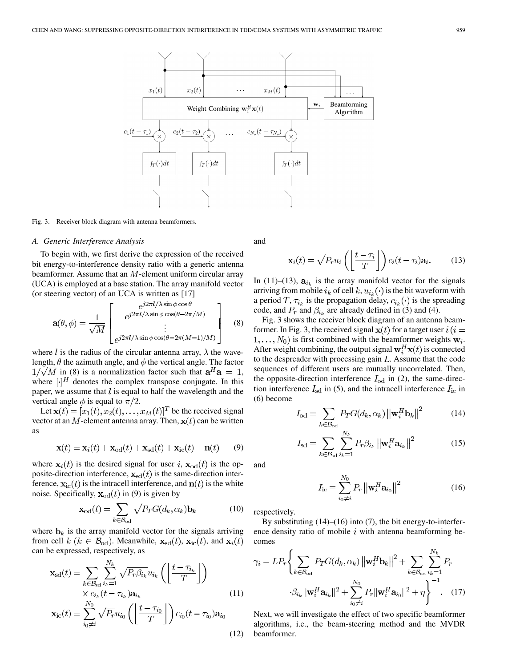

Fig. 3. Receiver block diagram with antenna beamformers.

## *A. Generic Interference Analysis*

To begin with, we first derive the expression of the received bit energy-to-interference density ratio with a generic antenna beamformer. Assume that an  $M$ -element uniform circular array (UCA) is employed at a base station. The array manifold vector (or steering vector) of an UCA is written as [\[17](#page-11-0)]

$$
\mathbf{a}(\theta,\phi) = \frac{1}{\sqrt{M}} \begin{bmatrix} e^{j2\pi l/\lambda \sin\phi \cos\theta} \\ e^{j2\pi l/\lambda \sin\phi \cos(\theta - 2\pi/M)} \\ \vdots \\ e^{j2\pi l/\lambda \sin\phi \cos(\theta - 2\pi(M-1)/M)} \end{bmatrix}
$$
(8)

where l is the radius of the circular antenna array,  $\lambda$  the wavelength,  $\theta$  the azimuth angle, and  $\phi$  the vertical angle. The factor  $1/\sqrt{M}$  in (8) is a normalization factor such that  $a^H a = 1$ , where  $\lbrack \cdot \rbrack^H$  denotes the complex transpose conjugate. In this paper, we assume that  $l$  is equal to half the wavelength and the vertical angle  $\phi$  is equal to  $\pi/2$ .

Let  $\mathbf{x}(t) = [x_1(t), x_2(t), \dots, x_M(t)]^T$  be the received signal vector at an M-element antenna array. Then,  $x(t)$  can be written as

$$
\mathbf{x}(t) = \mathbf{x}_i(t) + \mathbf{x}_{\text{od}}(t) + \mathbf{x}_{\text{sd}}(t) + \mathbf{x}_{\text{ic}}(t) + \mathbf{n}(t) \tag{9}
$$

where  $x_i(t)$  is the desired signal for user i,  $x_{od}(t)$  is the opposite-direction interference,  $\mathbf{x}_{sd}(t)$  is the same-direction interference,  $\mathbf{x}_{ic}(t)$  is the intracell interference, and  $\mathbf{n}(t)$  is the white noise. Specifically,  $\mathbf{x}_{od}(t)$  in (9) is given by

$$
\mathbf{x}_{\text{od}}(t) = \sum_{k \in \mathcal{B}_{\text{od}}} \sqrt{P_T G(d_k, \alpha_k)} \mathbf{b}_k \tag{10}
$$

where  $\mathbf{b}_k$  is the array manifold vector for the signals arriving from cell  $k$  ( $k \in \mathcal{B}_{\text{od}}$ ). Meanwhile,  $\mathbf{x}_{\text{sd}}(t)$ ,  $\mathbf{x}_{\text{ic}}(t)$ , and  $\mathbf{x}_{i}(t)$ can be expressed, respectively, as

$$
\mathbf{x}_{sd}(t) = \sum_{k \in \mathcal{B}_{sd}} \sum_{i_k=1}^{N_k} \sqrt{P_r \beta_{i_k}} u_{i_k} \left( \left\lfloor \frac{t - \tau_{i_k}}{T} \right\rfloor \right)
$$
  
×  $c_{i_k} (t - \tau_{i_k}) \mathbf{a}_{i_k}$  (11)

$$
\mathbf{x}_{ic}(t) = \sum_{i_0 \neq i}^{\infty} \sqrt{P_r} u_{i_0} \left( \left\lfloor \frac{t - \tau_{i_0}}{T} \right\rfloor \right) c_{i_0} (t - \tau_{i_0}) \mathbf{a}_{i_0}
$$
\n(12)

and

$$
\mathbf{x}_{i}(t) = \sqrt{P_r} u_i \left( \left\lfloor \frac{t - \tau_i}{T} \right\rfloor \right) c_i(t - \tau_i) \mathbf{a}_i. \tag{13}
$$

In (11)–(13),  $a_{i_k}$  is the array manifold vector for the signals arriving from mobile  $i_k$  of cell  $k$ ,  $u_{i_k}(\cdot)$  is the bit waveform with a period T,  $\tau_{i_k}$  is the propagation delay,  $c_{i_k}(\cdot)$  is the spreading code, and  $P_r$  and  $\beta_{i_k}$  are already defined in (3) and (4).

Fig. 3 shows the receiver block diagram of an antenna beamformer. In Fig. 3, the received signal  $\mathbf{x}(t)$  for a target user  $i(i=$  $i_1, \ldots, N_0$  is first combined with the beamformer weights  $w_i$ . After weight combining, the output signal  $\mathbf{w}_i^H \mathbf{x}(t)$  is connected to the despreader with processing gain  $L$ . Assume that the code sequences of different users are mutually uncorrelated. Then, the opposite-direction interference  $I_{\text{od}}$  in (2), the same-direction interference  $I_{sd}$  in (5), and the intracell interference  $I_{ic}$  in (6) become

$$
I_{\text{od}} = \sum_{k \in \mathcal{B}_{\text{od}}} P_T G(d_k, \alpha_k) \left\| \mathbf{w}_i^H \mathbf{b}_k \right\|^2 \tag{14}
$$

$$
I_{\rm sd} = \sum_{k \in \mathcal{B}_{\rm sd}} \sum_{i_k=1}^{N_k} P_r \beta_{i_k} \left\| \mathbf{w}_i^H \mathbf{a}_{i_k} \right\|^2 \tag{15}
$$

and

$$
I_{\rm ic} = \sum_{i_0 \neq i}^{N_0} P_r \left\| \mathbf{w}_i^H \mathbf{a}_{i_0} \right\|^2 \tag{16}
$$

respectively.

By substituting  $(14)$ – $(16)$  into  $(7)$ , the bit energy-to-interference density ratio of mobile  $i$  with antenna beamforming becomes

$$
\gamma_i = LP_r \Biggl\{ \sum_{k \in \mathcal{B}_{\text{od}}} P_T G(d_k, \alpha_k) \left\| \mathbf{w}_i^H \mathbf{b}_k \right\|^2 + \sum_{k \in \mathcal{B}_{\text{sd}}} \sum_{i_k=1}^{N_k} P_r \cdot \frac{\beta_{i_k}}{\beta_{i_k}} \cdot \frac{\beta_{i_k}}{\beta_{i_k}} \cdot \frac{\beta_{i_k}}{\beta_{i_k}} \cdot \frac{\beta_{i_k}}{\beta_{i_k}} \cdot \frac{\beta_{i_k}}{\beta_{i_k}} \cdot \frac{\beta_{i_k}}{\beta_{i_k}} \cdot \frac{\beta_{i_k}}{\beta_{i_k}} \cdot \frac{\beta_{i_k}}{\beta_{i_k}} \cdot \frac{\beta_{i_k}}{\beta_{i_k}} \cdot \frac{\beta_{i_k}}{\beta_{i_k}} \cdot \frac{\beta_{i_k}}{\beta_{i_k}} \cdot \frac{\beta_{i_k}}{\beta_{i_k}} \cdot \frac{\beta_{i_k}}{\beta_{i_k}} \cdot \frac{\beta_{i_k}}{\beta_{i_k}} \cdot \frac{\beta_{i_k}}{\beta_{i_k}} \cdot \frac{\beta_{i_k}}{\beta_{i_k}} \cdot \frac{\beta_{i_k}}{\beta_{i_k}} \cdot \frac{\beta_{i_k}}{\beta_{i_k}} \cdot \frac{\beta_{i_k}}{\beta_{i_k}} \cdot \frac{\beta_{i_k}}{\beta_{i_k}} \cdot \frac{\beta_{i_k}}{\beta_{i_k}} \cdot \frac{\beta_{i_k}}{\beta_{i_k}} \cdot \frac{\beta_{i_k}}{\beta_{i_k}} \cdot \frac{\beta_{i_k}}{\beta_{i_k}} \cdot \frac{\beta_{i_k}}{\beta_{i_k}} \cdot \frac{\beta_{i_k}}{\beta_{i_k}} \cdot \frac{\beta_{i_k}}{\beta_{i_k}} \cdot \frac{\beta_{i_k}}{\beta_{i_k}} \cdot \frac{\beta_{i_k}}{\beta_{i_k}} \cdot \frac{\beta_{i_k}}{\beta_{i_k}} \cdot \frac{\beta_{i_k}}{\beta_{i_k}} \cdot \frac{\beta_{i_k}}{\beta_{i_k}} \cdot \frac{\beta_{i_k}}{\beta_{i_k}} \cdot \frac{\beta_{i_k}}{\beta_{i_k}} \cdot \frac{\beta_{i_k}}{\beta_{i_k}} \cdot \frac{\beta_{i_k}}{\beta_{i_k}} \cdot \frac{\beta_{i_k}}{\beta_{i_k}} \cdot \frac{\beta_{i_k}}{\beta_{i_k}} \cdot \frac{\beta_{i_k}}{\beta_{i_k}} \cdot \frac{\beta_{i_k}}{\beta_{i_k}} \cdot \frac{\beta_{i_k}}{\beta_{i_k}} \cdot \frac{\beta_{i_k
$$

Next, we will investigate the effect of two specific beamformer algorithms, i.e., the beam-steering method and the MVDR beamformer.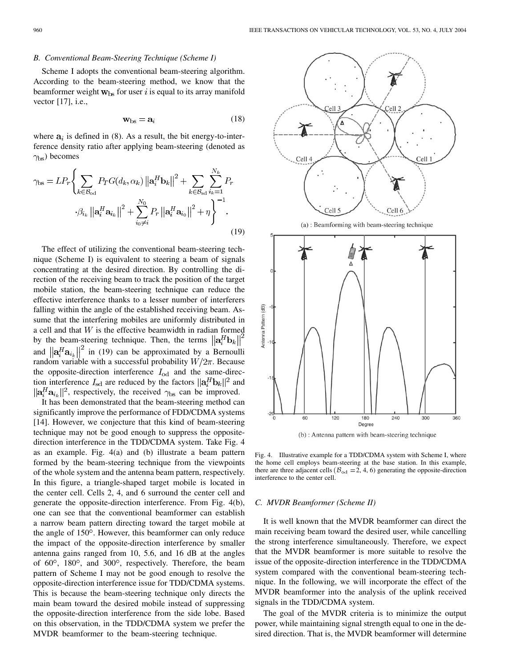## *B. Conventional Beam-Steering Technique (Scheme I)*

Scheme I adopts the conventional beam-steering algorithm. According to the beam-steering method, we know that the beamformer weight  $w_{bs}$  for user i is equal to its array manifold vector [[17\]](#page-11-0), i.e.,

$$
\mathbf{w}_{\mathrm{bs}} = \mathbf{a}_i \tag{18}
$$

where  $a_i$  is defined in (8). As a result, the bit energy-to-interference density ratio after applying beam-steering (denoted as  $\gamma_{\rm bs}$ ) becomes

$$
\gamma_{\rm bs} = LP_r \left\{ \sum_{k \in \mathcal{B}_{\rm od}} P_T G(d_k, \alpha_k) \left\| \mathbf{a}_i^H \mathbf{b}_k \right\|^2 + \sum_{k \in \mathcal{B}_{\rm sd}} \sum_{i_k=1}^{N_k} P_r \right\}
$$

$$
\cdot \beta_{i_k} \left\| \mathbf{a}_i^H \mathbf{a}_{i_k} \right\|^2 + \sum_{i_0 \neq i}^{N_0} P_r \left\| \mathbf{a}_i^H \mathbf{a}_{i_0} \right\|^2 + \eta \right\}^{-1} .
$$
(19)

The effect of utilizing the conventional beam-steering technique (Scheme I) is equivalent to steering a beam of signals concentrating at the desired direction. By controlling the direction of the receiving beam to track the position of the target mobile station, the beam-steering technique can reduce the effective interference thanks to a lesser number of interferers falling within the angle of the established receiving beam. Assume that the interfering mobiles are uniformly distributed in a cell and that  $W$  is the effective beamwidth in radian formed by the beam-steering technique. Then, the terms  $\|\mathbf{a}_i^H\mathbf{b}_k\|^2$ and  $\|\mathbf{a}_i^H \mathbf{a}_{i_k}\|^2$  in (19) can be approximated by a Bernoulli random variable with a successful probability  $W/2\pi$ . Because the opposite-direction interference  $I_{\text{od}}$  and the same-direction interference  $I_{sd}$  are reduced by the factors  $||a_i^H b_k||^2$  and  $\|\mathbf{a}_i^H \mathbf{a}_{i_k}\|^2$ , respectively, the received  $\gamma_{\text{bs}}$  can be improved.

It has been demonstrated that the beam-steering method can significantly improve the performance of FDD/CDMA systems [[14\]](#page-11-0). However, we conjecture that this kind of beam-steering technique may not be good enough to suppress the oppositedirection interference in the TDD/CDMA system. Take Fig. 4 as an example. Fig. 4(a) and (b) illustrate a beam pattern formed by the beam-steering technique from the viewpoints of the whole system and the antenna beam pattern, respectively. In this figure, a triangle-shaped target mobile is located in the center cell. Cells 2, 4, and 6 surround the center cell and generate the opposite-direction interference. From Fig. 4(b), one can see that the conventional beamformer can establish a narrow beam pattern directing toward the target mobile at the angle of  $150^\circ$ . However, this beamformer can only reduce the impact of the opposite-direction interference by smaller antenna gains ranged from 10, 5.6, and 16 dB at the angles of  $60^\circ$ ,  $180^\circ$ , and  $300^\circ$ , respectively. Therefore, the beam pattern of Scheme I may not be good enough to resolve the opposite-direction interference issue for TDD/CDMA systems. This is because the beam-steering technique only directs the main beam toward the desired mobile instead of suppressing the opposite-direction interference from the side lobe. Based on this observation, in the TDD/CDMA system we prefer the MVDR beamformer to the beam-steering technique.



Fig. 4. Illustrative example for a TDD/CDMA system with Scheme I, where the home cell employs beam-steering at the base station. In this example, there are three adjacent cells ( $\mathcal{B}_{\text{od}} = 2, 4, 6$ ) generating the opposite-direction interference to the center cell.

## *C. MVDR Beamformer (Scheme II)*

It is well known that the MVDR beamformer can direct the main receiving beam toward the desired user, while cancelling the strong interference simultaneously. Therefore, we expect that the MVDR beamformer is more suitable to resolve the issue of the opposite-direction interference in the TDD/CDMA system compared with the conventional beam-steering technique. In the following, we will incorporate the effect of the MVDR beamformer into the analysis of the uplink received signals in the TDD/CDMA system.

The goal of the MVDR criteria is to minimize the output power, while maintaining signal strength equal to one in the desired direction. That is, the MVDR beamformer will determine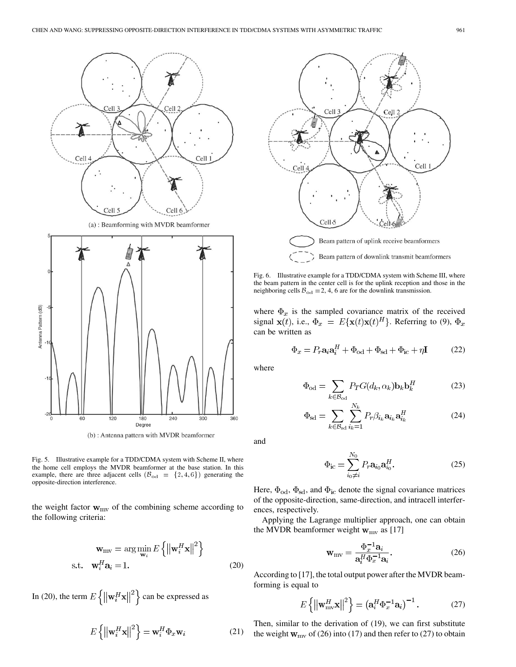

Fig. 5. Illustrative example for a TDD/CDMA system with Scheme II, where the home cell employs the MVDR beamformer at the base station. In this example, there are three adjacent cells  $(\mathcal{B}_{od} = \{2, 4, 6\})$  generating the opposite-direction interference.

the weight factor  $w_{mv}$  of the combining scheme according to the following criteria:

$$
\mathbf{w}_{\text{mv}} = \arg\min_{\mathbf{w}_i} E\left\{ \left\| \mathbf{w}_i^H \mathbf{x} \right\|^2 \right\}
$$
  
s.t. 
$$
\mathbf{w}_i^H \mathbf{a}_i = 1.
$$
 (20)

In (20), the term  $E\left\{ \left\| \mathbf{w}_i^H \mathbf{x} \right\|^2 \right\}$  can be expressed as

$$
E\left\{ \left\| \mathbf{w}_i^H \mathbf{x} \right\|^2 \right\} = \mathbf{w}_i^H \Phi_x \mathbf{w}_i \tag{21}
$$



Fig. 6. Illustrative example for a TDD/CDMA system with Scheme III, where the beam pattern in the center cell is for the uplink reception and those in the neighboring cells  $B_{\text{od}} = 2, 4, 6$  are for the downlink transmission.

where  $\Phi_x$  is the sampled covariance matrix of the received signal  $\mathbf{x}(t)$ , i.e.,  $\Phi_x = E\{\mathbf{x}(t)\mathbf{x}(t)^H\}$ . Referring to (9), can be written as

$$
\Phi_x = P_r \mathbf{a}_i \mathbf{a}_i^H + \Phi_{\text{od}} + \Phi_{\text{sd}} + \Phi_{\text{ic}} + \eta \mathbf{I}
$$
 (22)

where

$$
\Phi_{\text{od}} = \sum_{k \in \mathcal{B}_{\text{od}}} P_T G(d_k, \alpha_k) \mathbf{b}_k \mathbf{b}_k^H \tag{23}
$$

$$
\Phi_{\rm sd} = \sum_{k \in \mathcal{B}_{\rm sd}} \sum_{i_k=1}^{N_k} P_r \beta_{i_k} \mathbf{a}_{i_k} \mathbf{a}_{i_k}^H \tag{24}
$$

and

$$
\Phi_{\rm ic} = \sum_{i_0 \neq i}^{N_0} P_r \mathbf{a}_{i_0} \mathbf{a}_{i_0}^H.
$$
 (25)

Here,  $\Phi_{\rm od}$ ,  $\Phi_{\rm sd}$ , and  $\Phi_{\rm ic}$  denote the signal covariance matrices of the opposite-direction, same-direction, and intracell interferences, respectively.

Applying the Lagrange multiplier approach, one can obtain the MVDR beamformer weight  $w<sub>mv</sub>$  as [\[17](#page-11-0)]

$$
\mathbf{w}_{\rm mv} = \frac{\Phi_x^{-1} \mathbf{a}_i}{\mathbf{a}_i^H \Phi_x^{-1} \mathbf{a}_i}.
$$
 (26)

According to [[17\]](#page-11-0), the total output power after the MVDR beamforming is equal to

$$
E\left\{ \left\| \mathbf{w}_{\text{mv}}^H \mathbf{x} \right\|^2 \right\} = \left( \mathbf{a}_i^H \Phi_x^{-1} \mathbf{a}_i \right)^{-1} . \tag{27}
$$

Then, similar to the derivation of (19), we can first substitute the weight  $w_{mv}$  of (26) into (17) and then refer to (27) to obtain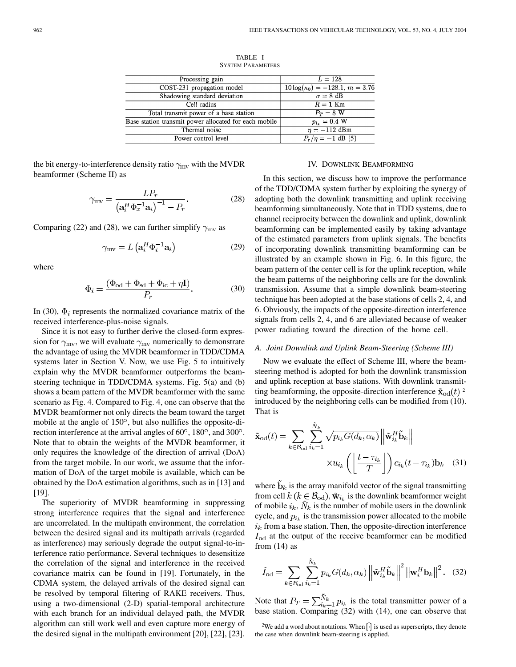| $L = 128$                             |
|---------------------------------------|
| $10\log(\kappa_0) = -128.1, m = 3.76$ |
| $\sigma = 8$ dB                       |
| $R=1$ Km                              |
| $P_T = 8$ W                           |
| $p_{i_k} = 0.4 W$                     |
| $\eta = -112$ dBm                     |
| $P_r/\eta = -1$ dB [5]                |
|                                       |

TABLE I SYSTEM PARAMETERS

the bit energy-to-interference density ratio  $\gamma_{\text{mv}}$  with the MVDR beamformer (Scheme II) as

$$
\gamma_{\rm mv} = \frac{L P_r}{\left(\mathbf{a}_i^H \Phi_x^{-1} \mathbf{a}_i\right)^{-1} - P_r}.\tag{28}
$$

Comparing (22) and (28), we can further simplify  $\gamma_{\text{mv}}$  as

$$
\gamma_{\rm mv} = L \left( \mathbf{a}_i^H \Phi_i^{-1} \mathbf{a}_i \right) \tag{29}
$$

where

$$
\Phi_i = \frac{(\Phi_{\text{od}} + \Phi_{\text{sd}} + \Phi_{\text{ic}} + \eta \mathbf{I})}{P_r}.
$$
\n(30)

In (30),  $\Phi_i$  represents the normalized covariance matrix of the received interference-plus-noise signals.

Since it is not easy to further derive the closed-form expression for  $\gamma_{\rm mv},$  we will evaluate  $\gamma_{\rm mv}$  numerically to demonstrate the advantage of using the MVDR beamformer in TDD/CDMA systems later in Section V. Now, we use Fig. 5 to intuitively explain why the MVDR beamformer outperforms the beamsteering technique in TDD/CDMA systems. Fig. 5(a) and (b) shows a beam pattern of the MVDR beamformer with the same scenario as Fig. 4. Compared to Fig. 4, one can observe that the MVDR beamformer not only directs the beam toward the target mobile at the angle of  $150^\circ$ , but also nullifies the opposite-direction interference at the arrival angles of  $60^{\circ}$ ,  $180^{\circ}$ , and  $300^{\circ}$ . Note that to obtain the weights of the MVDR beamformer, it only requires the knowledge of the direction of arrival (DoA) from the target mobile. In our work, we assume that the information of DoA of the target mobile is available, which can be obtained by the DoA estimation algorithms, such as in [[13\]](#page-11-0) and [[19\]](#page-11-0).

The superiority of MVDR beamforming in suppressing strong interference requires that the signal and interference are uncorrelated. In the multipath environment, the correlation between the desired signal and its multipath arrivals (regarded as interference) may seriously degrade the output signal-to-interference ratio performance. Several techniques to desensitize the correlation of the signal and interference in the received covariance matrix can be found in [[19](#page-11-0)]. Fortunately, in the CDMA system, the delayed arrivals of the desired signal can be resolved by temporal filtering of RAKE receivers. Thus, using a two-dimensional (2-D) spatial-temporal architecture with each branch for an individual delayed path, the MVDR algorithm can still work well and even capture more energy of the desired signal in the multipath environment [\[20\]](#page-11-0), [\[22](#page-11-0)], [[23\]](#page-11-0).

# IV. DOWNLINK BEAMFORMING

In this section, we discuss how to improve the performance of the TDD/CDMA system further by exploiting the synergy of adopting both the downlink transmitting and uplink receiving beamforming simultaneously. Note that in TDD systems, due to channel reciprocity between the downlink and uplink, downlink beamforming can be implemented easily by taking advantage of the estimated parameters from uplink signals. The benefits of incorporating downlink transmitting beamforming can be illustrated by an example shown in Fig. 6. In this figure, the beam pattern of the center cell is for the uplink reception, while the beam patterns of the neighboring cells are for the downlink transmission. Assume that a simple downlink beam-steering technique has been adopted at the base stations of cells 2, 4, and 6. Obviously, the impacts of the opposite-direction interference signals from cells 2, 4, and 6 are alleviated because of weaker power radiating toward the direction of the home cell.

## *A. Joint Downlink and Uplink Beam-Steering (Scheme III)*

Now we evaluate the effect of Scheme III, where the beamsteering method is adopted for both the downlink transmission and uplink reception at base stations. With downlink transmitting beamforming, the opposite-direction interference  $\tilde{\mathbf{x}}_{od}(t)$  2 introduced by the neighboring cells can be modified from (10). That is

$$
\tilde{\mathbf{x}}_{\text{od}}(t) = \sum_{k \in \mathcal{B}_{\text{od}}} \sum_{i_k=1}^{N_k} \sqrt{p_{i_k} G(d_k, \alpha_k)} \left\| \tilde{\mathbf{w}}_{i_k}^H \tilde{\mathbf{b}}_k \right\|
$$

$$
\times u_{i_k} \left( \left\lfloor \frac{t - \tau_{i_k}}{T} \right\rfloor \right) c_{i_k} (t - \tau_{i_k}) \mathbf{b}_k \quad (31)
$$

where  $\tilde{\mathbf{b}}_k$  is the array manifold vector of the signal transmitting from cell  $k$  ( $k \in \mathcal{B}_{\text{od}}$ ),  $\tilde{\mathbf{w}}_{i_k}$  is the downlink beamformer weight of mobile  $i_k$ ,  $N_k$  is the number of mobile users in the downlink cycle, and  $p_{i_k}$  is the transmission power allocated to the mobile  $i_k$  from a base station. Then, the opposite-direction interference  $I_{\rm od}$  at the output of the receive beamformer can be modified from  $(14)$  as

$$
\tilde{I}_{\text{od}} = \sum_{k \in \mathcal{B}_{\text{od}}} \sum_{i_k=1}^{\tilde{N}_k} p_{i_k} G(d_k, \alpha_k) \left\| \tilde{\mathbf{w}}_{i_k}^H \tilde{\mathbf{b}}_k \right\|^2 \left\| \mathbf{w}_i^H \mathbf{b}_k \right\|^2.
$$
 (32)

Note that  $P_T = \sum_{i=1}^{N_k} p_{i_k}$  is the total transmitter power of a base station. Comparing (32) with (14), one can observe that <sup>2</sup>We add a word about notations. When  $\lceil \cdot \rceil$  is used as superscripts, they denote

the case when downlink beam-steering is applied.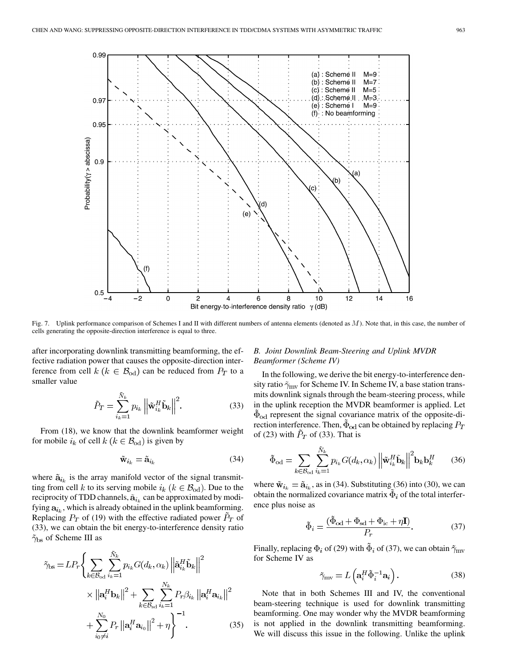

Fig. 7. Uplink performance comparison of Schemes I and II with different numbers of antenna elements (denoted as M). Note that, in this case, the number of cells generating the opposite-direction interference is equal to three.

after incorporating downlink transmitting beamforming, the effective radiation power that causes the opposite-direction interference from cell  $k$  ( $k \in \mathcal{B}_{\text{od}}$ ) can be reduced from  $P_T$  to a smaller value

$$
\tilde{P}_T = \sum_{i_k=1}^{N_k} p_{i_k} \left\| \tilde{\mathbf{w}}_{i_k}^H \tilde{\mathbf{b}}_k \right\|^2.
$$
 (33)

From (18), we know that the downlink beamformer weight for mobile  $i_k$  of cell  $k$  ( $k \in \mathcal{B}_{od}$ ) is given by

$$
\tilde{\mathbf{w}}_{i_k} = \tilde{\mathbf{a}}_{i_k} \tag{34}
$$

where  $\tilde{a}_{i_k}$  is the array manifold vector of the signal transmitting from cell k to its serving mobile  $i_k$  ( $k \in \mathcal{B}_{\text{od}}$ ). Due to the reciprocity of TDD channels,  $\tilde{\mathbf{a}}_{i_k}$  can be approximated by modifying  $a_{i_k}$ , which is already obtained in the uplink beamforming. Replacing  $P_T$  of (19) with the effective radiated power  $P_T$  of (33), we can obtain the bit energy-to-interference density ratio  $\tilde{\gamma}_{\rm bs}$  of Scheme III as

$$
\tilde{\gamma}_{\text{bs}} = LP_r \Bigg\{ \sum_{k \in \mathcal{B}_{\text{od}}} \sum_{i_k=1}^{\tilde{N}_k} p_{i_k} G(d_k, \alpha_k) \left\| \tilde{\mathbf{a}}_{i_k}^H \tilde{\mathbf{b}}_k \right\|^2 \times \left\| \mathbf{a}_i^H \mathbf{b}_k \right\|^2 + \sum_{k \in \mathcal{B}_{\text{sd}}} \sum_{i_k=1}^{\tilde{N}_k} P_r \beta_{i_k} \left\| \mathbf{a}_i^H \mathbf{a}_{i_k} \right\|^2 \right. \\ \left. + \sum_{i_0 \neq i}^{\tilde{N}_0} P_r \left\| \mathbf{a}_i^H \mathbf{a}_{i_0} \right\|^2 + \eta \Bigg\}^{-1} . \tag{35}
$$

# *B. Joint Downlink Beam-Steering and Uplink MVDR Beamformer (Scheme IV)*

In the following, we derive the bit energy-to-interference density ratio  $\tilde{\gamma}_{mv}$  for Scheme IV. In Scheme IV, a base station transmits downlink signals through the beam-steering process, while in the uplink reception the MVDR beamformer is applied. Let  $\Phi_{\rm od}$  represent the signal covariance matrix of the opposite-direction interference. Then,  $\Phi_{\text{od}}$  can be obtained by replacing  $P_T$ of (23) with  $\tilde{P}_T$  of (33). That is

$$
\tilde{\Phi}_{\text{od}} = \sum_{k \in \mathcal{B}_{\text{od}}} \sum_{i_k=1}^{\tilde{N}_k} p_{i_k} G(d_k, \alpha_k) \left\| \tilde{\mathbf{w}}_{i_k}^H \tilde{\mathbf{b}}_k \right\|^2 \mathbf{b}_k \mathbf{b}_k^H \qquad (36)
$$

where  $\tilde{\mathbf{w}}_{i_k} = \tilde{\mathbf{a}}_{i_k}$ , as in (34). Substituting (36) into (30), we can obtain the normalized covariance matrix  $\Phi_i$  of the total interference plus noise as

$$
\tilde{\Phi}_i = \frac{(\tilde{\Phi}_{od} + \Phi_{sd} + \Phi_{ic} + \eta \mathbf{I})}{P_r}.
$$
\n(37)

Finally, replacing  $\Phi_i$  of (29) with  $\tilde{\Phi}_i$  of (37), we can obtain  $\tilde{\gamma}_{mv}$ for Scheme IV as

$$
\tilde{\gamma}_{\text{mv}} = L\left(\mathbf{a}_i^H \tilde{\Phi}_i^{-1} \mathbf{a}_i\right). \tag{38}
$$

Note that in both Schemes III and IV, the conventional beam-steering technique is used for downlink transmitting beamforming. One may wonder why the MVDR beamforming is not applied in the downlink transmitting beamforming. We will discuss this issue in the following. Unlike the uplink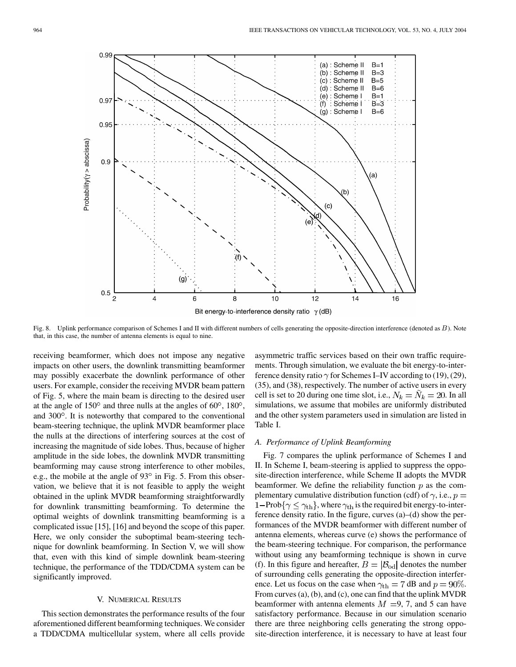

Fig. 8. Uplink performance comparison of Schemes I and II with different numbers of cells generating the opposite-direction interference (denoted as B). Note that, in this case, the number of antenna elements is equal to nine.

receiving beamformer, which does not impose any negative impacts on other users, the downlink transmitting beamformer may possibly exacerbate the downlink performance of other users. For example, consider the receiving MVDR beam pattern of Fig. 5, where the main beam is directing to the desired user at the angle of  $150^{\circ}$  and three nulls at the angles of  $60^{\circ}$ ,  $180^{\circ}$ , and 300°. It is noteworthy that compared to the conventional beam-steering technique, the uplink MVDR beamformer place the nulls at the directions of interfering sources at the cost of increasing the magnitude of side lobes. Thus, because of higher amplitude in the side lobes, the downlink MVDR transmitting beamforming may cause strong interference to other mobiles, e.g., the mobile at the angle of  $93^\circ$  in Fig. 5. From this observation, we believe that it is not feasible to apply the weight obtained in the uplink MVDR beamforming straightforwardly for downlink transmitting beamforming. To determine the optimal weights of downlink transmitting beamforming is a complicated issue [[15\]](#page-11-0), [\[16](#page-11-0)] and beyond the scope of this paper. Here, we only consider the suboptimal beam-steering technique for downlink beamforming. In Section V, we will show that, even with this kind of simple downlink beam-steering technique, the performance of the TDD/CDMA system can be significantly improved.

## V. NUMERICAL RESULTS

This section demonstrates the performance results of the four aforementioned different beamforming techniques. We consider a TDD/CDMA multicellular system, where all cells provide asymmetric traffic services based on their own traffic requirements. Through simulation, we evaluate the bit energy-to-interference density ratio  $\gamma$  for Schemes I–IV according to (19), (29), (35), and (38), respectively. The number of active users in every cell is set to 20 during one time slot, i.e.,  $N_k = N_k = 20$ . In all simulations, we assume that mobiles are uniformly distributed and the other system parameters used in simulation are listed in Table I.

## *A. Performance of Uplink Beamforming*

Fig. 7 compares the uplink performance of Schemes I and II. In Scheme I, beam-steering is applied to suppress the opposite-direction interference, while Scheme II adopts the MVDR beamformer. We define the reliability function  $p$  as the complementary cumulative distribution function (cdf) of  $\gamma$ , i.e.,  $p =$ 1-Prob $\{\gamma \leq \gamma_{\rm th}\}\,$ , where  $\gamma_{\rm th}$  is the required bit energy-to-interference density ratio. In the figure, curves (a)–(d) show the performances of the MVDR beamformer with different number of antenna elements, whereas curve (e) shows the performance of the beam-steering technique. For comparison, the performance without using any beamforming technique is shown in curve (f). In this figure and hereafter,  $B = |\mathcal{B}_{od}|$  denotes the number of surrounding cells generating the opposite-direction interference. Let us focus on the case when  $\gamma_{\text{th}} = 7$  dB and  $p = 90\%$ . From curves (a), (b), and (c), one can find that the uplink MVDR beamformer with antenna elements  $M = 9, 7$ , and 5 can have satisfactory performance. Because in our simulation scenario there are three neighboring cells generating the strong opposite-direction interference, it is necessary to have at least four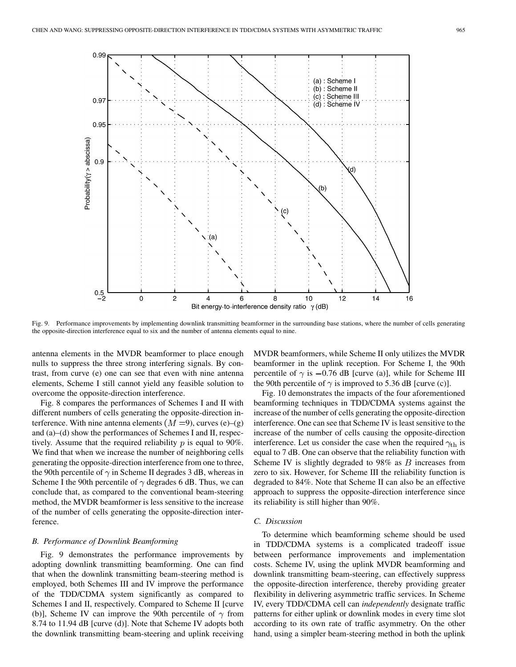

Fig. 9. Performance improvements by implementing downlink transmitting beamformer in the surrounding base stations, where the number of cells generating the opposite-direction interference equal to six and the number of antenna elements equal to nine.

antenna elements in the MVDR beamformer to place enough nulls to suppress the three strong interfering signals. By contrast, from curve (e) one can see that even with nine antenna elements, Scheme I still cannot yield any feasible solution to overcome the opposite-direction interference.

Fig. 8 compares the performances of Schemes I and II with different numbers of cells generating the opposite-direction interference. With nine antenna elements  $(M=9)$ , curves (e)–(g) and (a)–(d) show the performances of Schemes I and II, respectively. Assume that the required reliability  $p$  is equal to 90%. We find that when we increase the number of neighboring cells generating the opposite-direction interference from one to three, the 90th percentile of  $\gamma$  in Scheme II degrades 3 dB, whereas in Scheme I the 90th percentile of  $\gamma$  degrades 6 dB. Thus, we can conclude that, as compared to the conventional beam-steering method, the MVDR beamformer is less sensitive to the increase of the number of cells generating the opposite-direction interference.

## *B. Performance of Downlink Beamforming*

Fig. 9 demonstrates the performance improvements by adopting downlink transmitting beamforming. One can find that when the downlink transmitting beam-steering method is employed, both Schemes III and IV improve the performance of the TDD/CDMA system significantly as compared to Schemes I and II, respectively. Compared to Scheme II [curve (b)], Scheme IV can improve the 90th percentile of  $\gamma$  from 8.74 to 11.94 dB [curve (d)]. Note that Scheme IV adopts both the downlink transmitting beam-steering and uplink receiving MVDR beamformers, while Scheme II only utilizes the MVDR beamformer in the uplink reception. For Scheme I, the 90th percentile of  $\gamma$  is -0.76 dB [curve (a)], while for Scheme III the 90th percentile of  $\gamma$  is improved to 5.36 dB [curve (c)].

Fig. 10 demonstrates the impacts of the four aforementioned beamforming techniques in TDD/CDMA systems against the increase of the number of cells generating the opposite-direction interference. One can see that Scheme IV is least sensitive to the increase of the number of cells causing the opposite-direction interference. Let us consider the case when the required  $\gamma_{\text{th}}$  is equal to 7 dB. One can observe that the reliability function with Scheme IV is slightly degraded to 98% as  $B$  increases from zero to six. However, for Scheme III the reliability function is degraded to 84%. Note that Scheme II can also be an effective approach to suppress the opposite-direction interference since its reliability is still higher than 90%.

## *C. Discussion*

To determine which beamforming scheme should be used in TDD/CDMA systems is a complicated tradeoff issue between performance improvements and implementation costs. Scheme IV, using the uplink MVDR beamforming and downlink transmitting beam-steering, can effectively suppress the opposite-direction interference, thereby providing greater flexibility in delivering asymmetric traffic services. In Scheme IV, every TDD/CDMA cell can *independently* designate traffic patterns for either uplink or downlink modes in every time slot according to its own rate of traffic asymmetry. On the other hand, using a simpler beam-steering method in both the uplink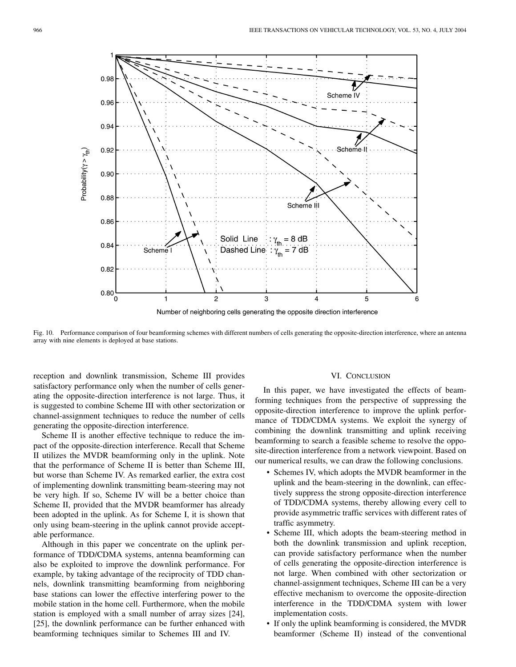

Number of neighboring cells generating the opposite direction interference

Fig. 10. Performance comparison of four beamforming schemes with different numbers of cells generating the opposite-direction interference, where an antenna array with nine elements is deployed at base stations.

reception and downlink transmission, Scheme III provides satisfactory performance only when the number of cells generating the opposite-direction interference is not large. Thus, it is suggested to combine Scheme III with other sectorization or channel-assignment techniques to reduce the number of cells generating the opposite-direction interference.

Scheme II is another effective technique to reduce the impact of the opposite-direction interference. Recall that Scheme II utilizes the MVDR beamforming only in the uplink. Note that the performance of Scheme II is better than Scheme III, but worse than Scheme IV. As remarked earlier, the extra cost of implementing downlink transmitting beam-steering may not be very high. If so, Scheme IV will be a better choice than Scheme II, provided that the MVDR beamformer has already been adopted in the uplink. As for Scheme I, it is shown that only using beam-steering in the uplink cannot provide acceptable performance.

Although in this paper we concentrate on the uplink performance of TDD/CDMA systems, antenna beamforming can also be exploited to improve the downlink performance. For example, by taking advantage of the reciprocity of TDD channels, downlink transmitting beamforming from neighboring base stations can lower the effective interfering power to the mobile station in the home cell. Furthermore, when the mobile station is employed with a small number of array sizes [[24\]](#page-11-0), [[25\]](#page-11-0), the downlink performance can be further enhanced with beamforming techniques similar to Schemes III and IV.

# VI. CONCLUSION

In this paper, we have investigated the effects of beamforming techniques from the perspective of suppressing the opposite-direction interference to improve the uplink performance of TDD/CDMA systems. We exploit the synergy of combining the downlink transmitting and uplink receiving beamforming to search a feasible scheme to resolve the opposite-direction interference from a network viewpoint. Based on our numerical results, we can draw the following conclusions.

- Schemes IV, which adopts the MVDR beamformer in the uplink and the beam-steering in the downlink, can effectively suppress the strong opposite-direction interference of TDD/CDMA systems, thereby allowing every cell to provide asymmetric traffic services with different rates of traffic asymmetry.
- Scheme III, which adopts the beam-steering method in both the downlink transmission and uplink reception, can provide satisfactory performance when the number of cells generating the opposite-direction interference is not large. When combined with other sectorization or channel-assignment techniques, Scheme III can be a very effective mechanism to overcome the opposite-direction interference in the TDD/CDMA system with lower implementation costs.
- If only the uplink beamforming is considered, the MVDR beamformer (Scheme II) instead of the conventional